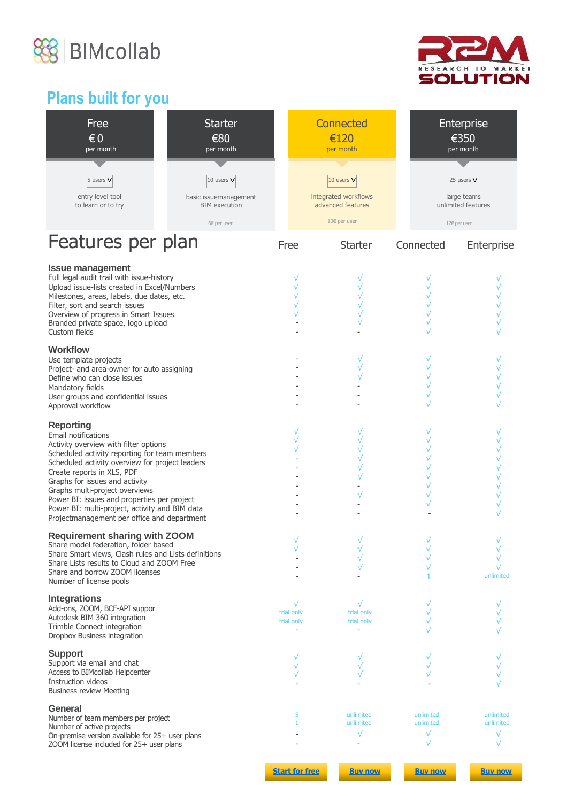



# **Plans built for you**

| Free<br>$\epsilon$ <sub>0</sub><br>per month                                                                                                                                                                                                                                                                                                                                                                                           | <b>Starter</b><br>€80<br>per month                          |                          | <b>Connected</b><br>€120<br>per month                   | Enterprise<br>€350<br>per month                   |                        |
|----------------------------------------------------------------------------------------------------------------------------------------------------------------------------------------------------------------------------------------------------------------------------------------------------------------------------------------------------------------------------------------------------------------------------------------|-------------------------------------------------------------|--------------------------|---------------------------------------------------------|---------------------------------------------------|------------------------|
| 5 users V<br>entry level tool<br>to learn or to try                                                                                                                                                                                                                                                                                                                                                                                    | 10 users V<br>basic issuemanagement<br><b>BIM</b> execution |                          | 10 users V<br>integrated workflows<br>advanced features | 25 users $V$<br>large teams<br>unlimited features |                        |
| Features per plan                                                                                                                                                                                                                                                                                                                                                                                                                      | 6€ per user                                                 | Free                     | 10€ per user<br><b>Starter</b>                          | 12€ per user<br>Connected                         |                        |
| <b>Issue management</b><br>Full legal audit trail with issue-history<br>Upload issue-lists created in Excel/Numbers<br>Milestones, areas, labels, due dates, etc.<br>Filter, sort and search issues<br>Overview of progress in Smart Issues<br>Branded private space, logo upload<br>Custom fields                                                                                                                                     |                                                             | √                        | $\sqrt{}$                                               | $\sqrt{}$                                         | Enterprise             |
| <b>Workflow</b><br>Use template projects<br>Project- and area-owner for auto assigning<br>Define who can close issues<br>Mandatory fields<br>User groups and confidential issues<br>Approval workflow                                                                                                                                                                                                                                  |                                                             |                          |                                                         |                                                   |                        |
| <b>Reporting</b><br>Email notifications<br>Activity overview with filter options<br>Scheduled activity reporting for team members<br>Scheduled activity overview for project leaders<br>Create reports in XLS, PDF<br>Graphs for issues and activity<br>Graphs multi-project overviews<br>Power BI: issues and properties per project<br>Power BI: multi-project, activity and BIM data<br>Projectmanagement per office and department |                                                             |                          |                                                         |                                                   |                        |
| <b>Requirement sharing with ZOOM</b><br>Share model federation, folder based<br>Share Smart views, Clash rules and Lists definitions<br>Share Lists results to Cloud and ZOOM Free<br>Share and borrow ZOOM licenses<br>Number of license pools                                                                                                                                                                                        |                                                             | $\sqrt{ }$               | $\sqrt{ }$<br>$\sqrt{}$                                 | $\sqrt{ }$                                        | $\sqrt{}$<br>unlimited |
| <b>Integrations</b><br>Add-ons, ZOOM, BCF-API suppor<br>Autodesk BIM 360 integration<br>Trimble Connect integration<br>Dropbox Business integration                                                                                                                                                                                                                                                                                    |                                                             | trial only<br>trial only | trial only<br>trial only                                |                                                   |                        |
| <b>Support</b><br>Support via email and chat<br>Access to BIMcollab Helpcenter<br>Instruction videos<br><b>Business review Meeting</b>                                                                                                                                                                                                                                                                                                 |                                                             |                          |                                                         |                                                   |                        |
| General<br>Number of team members per project<br>Number of active projects<br>On-premise version available for 25+ user plans<br>ZOOM license included for 25+ user plans                                                                                                                                                                                                                                                              |                                                             | 5<br>1                   | unlimited<br>unlimited                                  | unlimited<br>unlimited<br>√<br>√                  | unlimited<br>unlimited |
|                                                                                                                                                                                                                                                                                                                                                                                                                                        |                                                             | <b>Start for free</b>    | <b>Buy now</b>                                          | <b>Buy now</b>                                    | <b>Buy now</b>         |